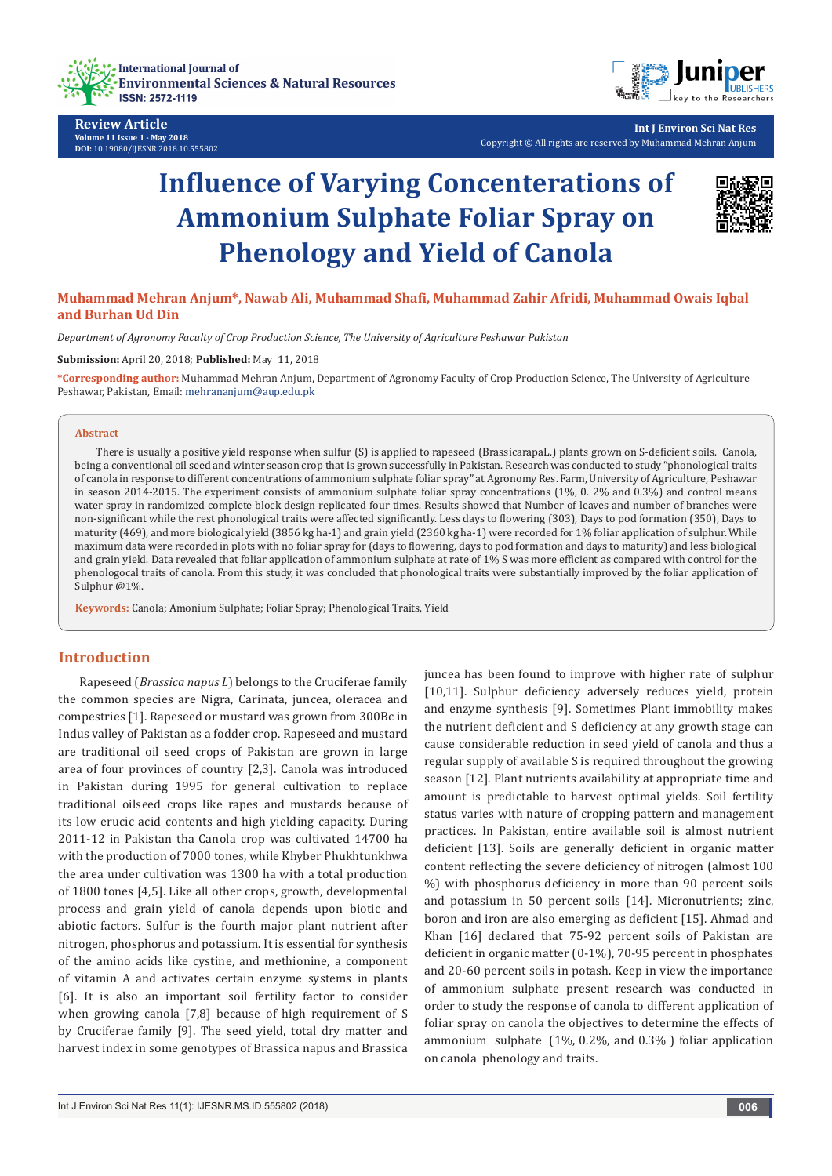



**Review Article Volume 11 Issue 1 - May 2018 DOI:** [10.19080/IJESNR.2018.10.555802](http://dx.doi.org/10.19080/IJESNR.2018.11.555802)

**Int J Environ Sci Nat Res** Copyright © All rights are reserved by Muhammad Mehran Anjum

# **Influence of Varying Concenterations of Ammonium Sulphate Foliar Spray on Phenology and Yield of Canola**



# **Muhammad Mehran Anjum\*, Nawab Ali, Muhammad Shafi, Muhammad Zahir Afridi, Muhammad Owais Iqbal and Burhan Ud Din**

*Department of Agronomy Faculty of Crop Production Science, The University of Agriculture Peshawar Pakistan* 

#### **Submission:** April 20, 2018; **Published:** May 11, 2018

**\*Corresponding author:** Muhammad Mehran Anjum, Department of Agronomy Faculty of Crop Production Science, The University of Agriculture Peshawar, Pakistan, Email: mehrananjum@aup.edu.pk

#### **Abstract**

There is usually a positive yield response when sulfur (S) is applied to rapeseed (BrassicarapaL.) plants grown on S-deficient soils. Canola, being a conventional oil seed and winter season crop that is grown successfully in Pakistan. Research was conducted to study "phonological traits of canola in response to different concentrations of ammonium sulphate foliar spray" at Agronomy Res. Farm, University of Agriculture, Peshawar in season 2014-2015. The experiment consists of ammonium sulphate foliar spray concentrations (1%, 0. 2% and 0.3%) and control means water spray in randomized complete block design replicated four times. Results showed that Number of leaves and number of branches were non-significant while the rest phonological traits were affected significantly. Less days to flowering (303), Days to pod formation (350), Days to maturity (469), and more biological yield (3856 kg ha-1) and grain yield (2360 kg ha-1) were recorded for 1% foliar application of sulphur. While maximum data were recorded in plots with no foliar spray for (days to flowering, days to pod formation and days to maturity) and less biological and grain yield. Data revealed that foliar application of ammonium sulphate at rate of 1% S was more efficient as compared with control for the phenologocal traits of canola. From this study, it was concluded that phonological traits were substantially improved by the foliar application of Sulphur @1%.

**Keywords:** Canola; Amonium Sulphate; Foliar Spray; Phenological Traits, Yield

## **Introduction**

Rapeseed (*Brassica napus L*) belongs to the Cruciferae family the common species are Nigra, Carinata, juncea, oleracea and compestries [1]. Rapeseed or mustard was grown from 300Bc in Indus valley of Pakistan as a fodder crop. Rapeseed and mustard are traditional oil seed crops of Pakistan are grown in large area of four provinces of country [2,3]. Canola was introduced in Pakistan during 1995 for general cultivation to replace traditional oilseed crops like rapes and mustards because of its low erucic acid contents and high yielding capacity. During 2011-12 in Pakistan tha Canola crop was cultivated 14700 ha with the production of 7000 tones, while Khyber Phukhtunkhwa the area under cultivation was 1300 ha with a total production of 1800 tones [4,5]. Like all other crops, growth, developmental process and grain yield of canola depends upon biotic and abiotic factors. Sulfur is the fourth major plant nutrient after nitrogen, phosphorus and potassium. It is essential for synthesis of the amino acids like cystine, and methionine, a component of vitamin A and activates certain enzyme systems in plants [6]. It is also an important soil fertility factor to consider when growing canola [7,8] because of high requirement of S by Cruciferae family [9]. The seed yield, total dry matter and harvest index in some genotypes of Brassica napus and Brassica

[10,11]. Sulphur deficiency adversely reduces yield, protein and enzyme synthesis [9]. Sometimes Plant immobility makes the nutrient deficient and S deficiency at any growth stage can cause considerable reduction in seed yield of canola and thus a regular supply of available S is required throughout the growing season [12]. Plant nutrients availability at appropriate time and amount is predictable to harvest optimal yields. Soil fertility status varies with nature of cropping pattern and management practices. In Pakistan, entire available soil is almost nutrient deficient [13]. Soils are generally deficient in organic matter content reflecting the severe deficiency of nitrogen (almost 100 %) with phosphorus deficiency in more than 90 percent soils and potassium in 50 percent soils [14]. Micronutrients; zinc, boron and iron are also emerging as deficient [15]. Ahmad and Khan [16] declared that 75-92 percent soils of Pakistan are deficient in organic matter (0-1%), 70-95 percent in phosphates and 20-60 percent soils in potash. Keep in view the importance of ammonium sulphate present research was conducted in order to study the response of canola to different application of foliar spray on canola the objectives to determine the effects of ammonium sulphate (1%, 0.2%, and 0.3% ) foliar application on canola phenology and traits.

juncea has been found to improve with higher rate of sulphur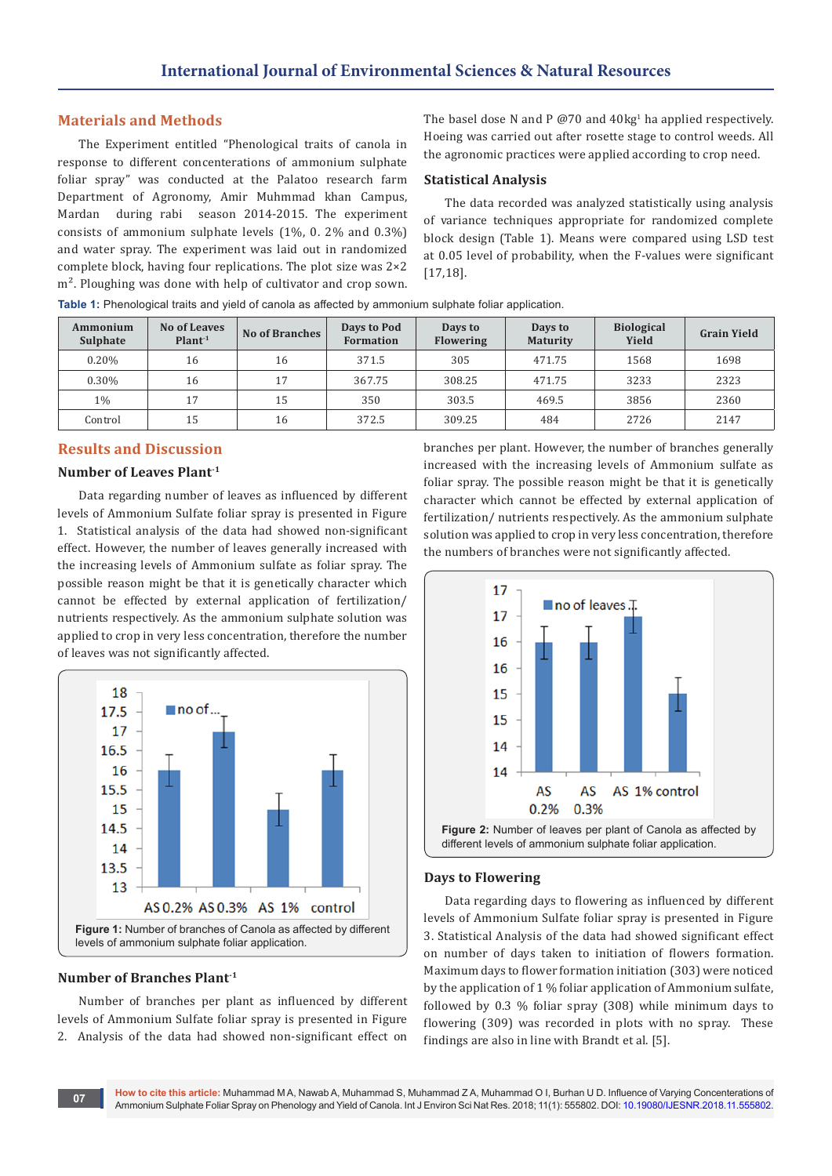# **Materials and Methods**

The Experiment entitled "Phenological traits of canola in response to different concenterations of ammonium sulphate foliar spray" was conducted at the Palatoo research farm Department of Agronomy, Amir Muhmmad khan Campus, Mardan during rabi season 2014-2015. The experiment consists of ammonium sulphate levels (1%, 0. 2% and 0.3%) and water spray. The experiment was laid out in randomized complete block, having four replications. The plot size was 2×2 m<sup>2</sup>. Ploughing was done with help of cultivator and crop sown.

The basel dose N and P  $@70$  and  $40 \text{kg}^1$  ha applied respectively. Hoeing was carried out after rosette stage to control weeds. All the agronomic practices were applied according to crop need.

## **Statistical Analysis**

The data recorded was analyzed statistically using analysis of variance techniques appropriate for randomized complete block design (Table 1). Means were compared using LSD test at 0.05 level of probability, when the F-values were significant [17,18].

| Ammonium<br>Sulphate | No of Leaves<br>Plant <sup>1</sup> | <b>No of Branches</b> | Days to Pod<br><b>Formation</b> | Days to<br><b>Flowering</b> | Days to<br><b>Maturity</b> | <b>Biological</b><br>Yield | <b>Grain Yield</b> |
|----------------------|------------------------------------|-----------------------|---------------------------------|-----------------------------|----------------------------|----------------------------|--------------------|
| 0.20%                | 16                                 | 16                    | 371.5                           | 305                         | 471.75                     | 1568                       | 1698               |
| 0.30%                | 16                                 | 17                    | 367.75                          | 308.25                      | 471.75                     | 3233                       | 2323               |
| $1\%$                | 17                                 | 15                    | 350                             | 303.5                       | 469.5                      | 3856                       | 2360               |
| Control              | 15                                 | 16                    | 372.5                           | 309.25                      | 484                        | 2726                       | 2147               |

**Table 1:** Phenological traits and yield of canola as affected by ammonium sulphate foliar application.

# **Results and Discussion**

#### **Number of Leaves Plant-1**

Data regarding number of leaves as influenced by different levels of Ammonium Sulfate foliar spray is presented in Figure 1. Statistical analysis of the data had showed non-significant effect. However, the number of leaves generally increased with the increasing levels of Ammonium sulfate as foliar spray. The possible reason might be that it is genetically character which cannot be effected by external application of fertilization/ nutrients respectively. As the ammonium sulphate solution was applied to crop in very less concentration, therefore the number of leaves was not significantly affected.



## **Number of Branches Plant-1**

Number of branches per plant as influenced by different levels of Ammonium Sulfate foliar spray is presented in Figure 2. Analysis of the data had showed non-significant effect on

branches per plant. However, the number of branches generally increased with the increasing levels of Ammonium sulfate as foliar spray. The possible reason might be that it is genetically character which cannot be effected by external application of fertilization/ nutrients respectively. As the ammonium sulphate solution was applied to crop in very less concentration, therefore the numbers of branches were not significantly affected.



#### **Days to Flowering**

Data regarding days to flowering as influenced by different levels of Ammonium Sulfate foliar spray is presented in Figure 3. Statistical Analysis of the data had showed significant effect on number of days taken to initiation of flowers formation. Maximum days to flower formation initiation (303) were noticed by the application of 1 % foliar application of Ammonium sulfate, followed by 0.3 % foliar spray (308) while minimum days to flowering (309) was recorded in plots with no spray. These findings are also in line with Brandt et al. [5].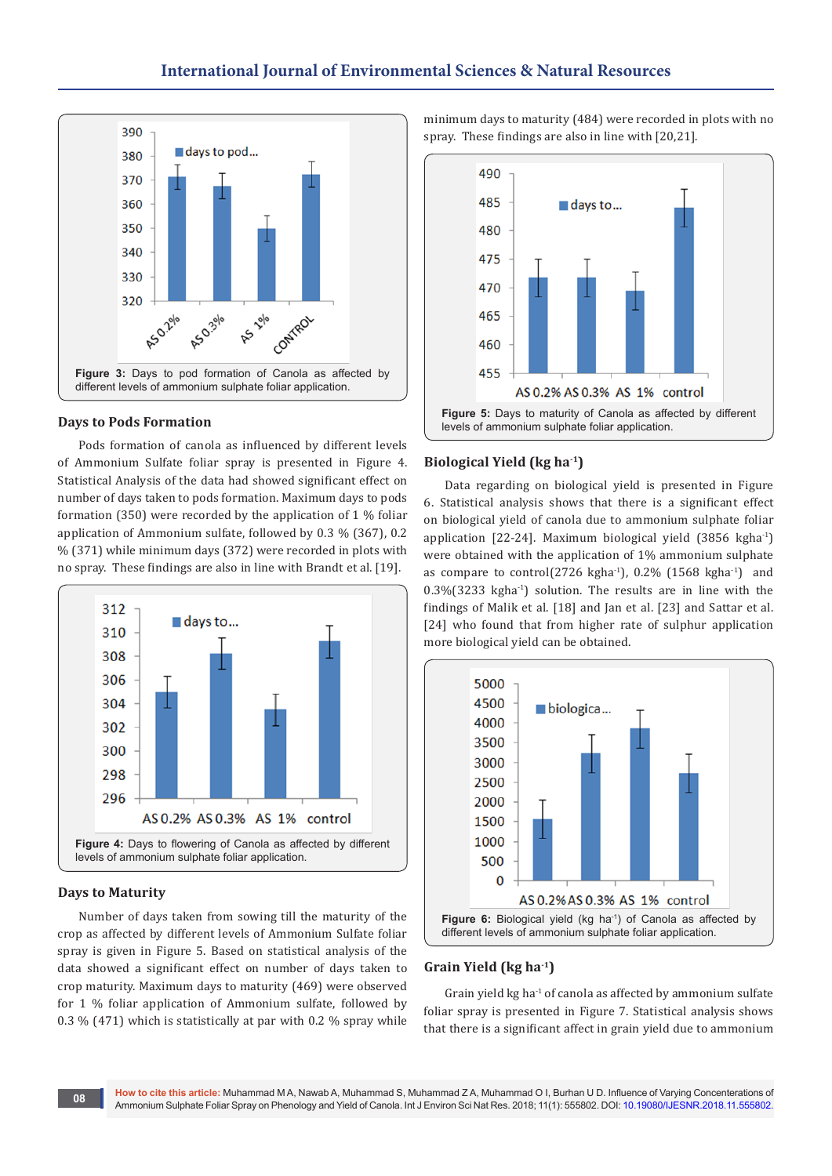

#### **Days to Pods Formation**

Pods formation of canola as influenced by different levels of Ammonium Sulfate foliar spray is presented in Figure 4. Statistical Analysis of the data had showed significant effect on number of days taken to pods formation. Maximum days to pods formation (350) were recorded by the application of 1 % foliar application of Ammonium sulfate, followed by 0.3 % (367), 0.2 % (371) while minimum days (372) were recorded in plots with no spray. These findings are also in line with Brandt et al. [19].



#### **Days to Maturity**

Number of days taken from sowing till the maturity of the crop as affected by different levels of Ammonium Sulfate foliar spray is given in Figure 5. Based on statistical analysis of the data showed a significant effect on number of days taken to crop maturity. Maximum days to maturity (469) were observed for 1 % foliar application of Ammonium sulfate, followed by 0.3 % (471) which is statistically at par with 0.2 % spray while

minimum days to maturity (484) were recorded in plots with no spray. These findings are also in line with [20,21].



#### **Biological Yield (kg ha-1)**

Data regarding on biological yield is presented in Figure 6. Statistical analysis shows that there is a significant effect on biological yield of canola due to ammonium sulphate foliar application  $[22-24]$ . Maximum biological yield  $(3856 \text{ kgha}^1)$ were obtained with the application of 1% ammonium sulphate as compare to control(2726 kgha $^{-1}$ ), 0.2% (1568 kgha $^{-1}$ ) and 0.3%(3233 kgha-1) solution. The results are in line with the findings of Malik et al. [18] and Jan et al. [23] and Sattar et al. [24] who found that from higher rate of sulphur application more biological yield can be obtained.



#### **Grain Yield (kg ha-1)**

Grain yield kg ha $^{-1}$  of canola as affected by ammonium sulfate foliar spray is presented in Figure 7. Statistical analysis shows that there is a significant affect in grain yield due to ammonium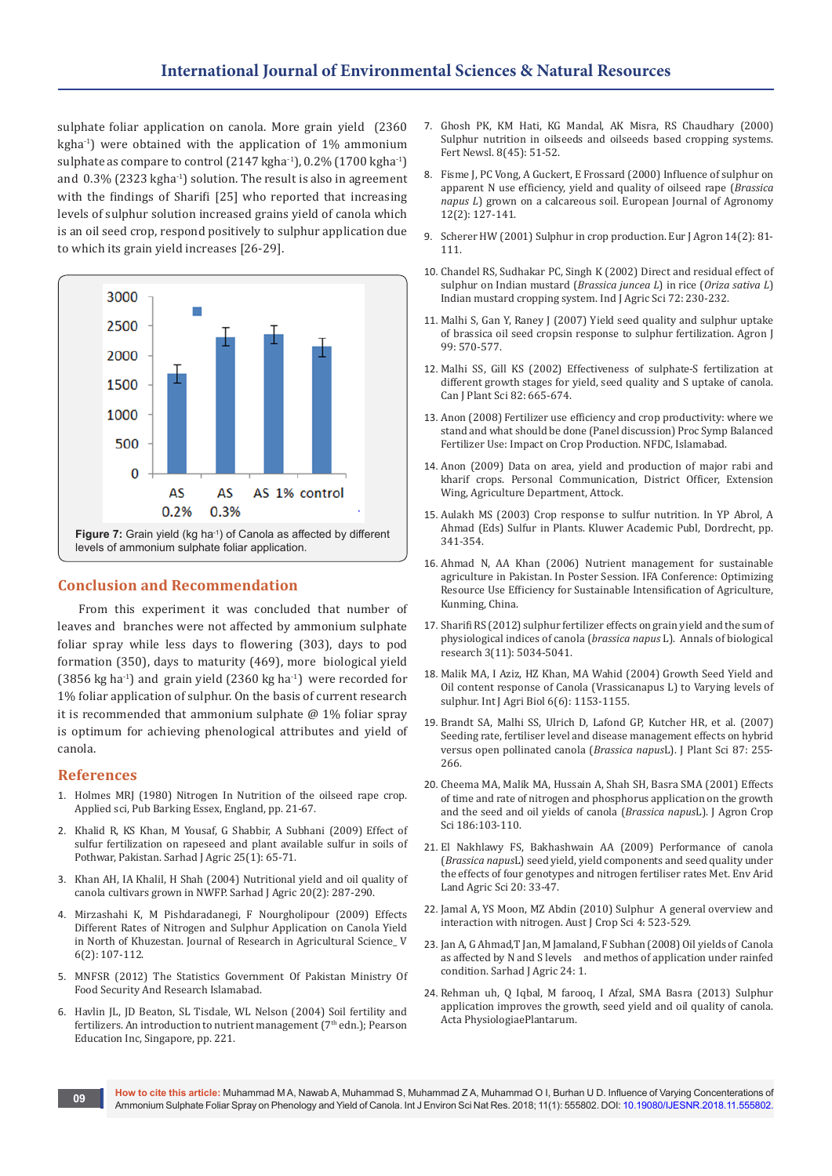sulphate foliar application on canola. More grain yield (2360 kgha-1) were obtained with the application of 1% ammonium sulphate as compare to control  $(2147 \text{ kgha}^{-1})$ , 0.2%  $(1700 \text{ kgha}^{-1})$ and  $0.3\%$  (2323 kgha<sup>-1</sup>) solution. The result is also in agreement with the findings of Sharifi [25] who reported that increasing levels of sulphur solution increased grains yield of canola which is an oil seed crop, respond positively to sulphur application due to which its grain yield increases [26-29].



## **Conclusion and Recommendation**

From this experiment it was concluded that number of leaves and branches were not affected by ammonium sulphate foliar spray while less days to flowering (303), days to pod formation (350), days to maturity (469), more biological yield (3856 kg ha<sup>-1</sup>) and grain yield (2360 kg ha<sup>-1</sup>) were recorded for 1% foliar application of sulphur. On the basis of current research it is recommended that ammonium sulphate  $@1\%$  foliar spray is optimum for achieving phenological attributes and yield of canola.

## **References**

- 1. Holmes MRJ (1980) Nitrogen In Nutrition of the oilseed rape crop. Applied sci, Pub Barking Essex, England, pp. 21-67.
- 2. [Khalid R, KS Khan, M Yousaf, G Shabbir, A Subhani \(2009\) Effect of](http://agris.fao.org/agris-search/search.do?recordID=PK2010000229)  [sulfur fertilization on rapeseed and plant available sulfur in soils of](http://agris.fao.org/agris-search/search.do?recordID=PK2010000229)  [Pothwar, Pakistan. Sarhad J Agric 25\(1\): 65-71.](http://agris.fao.org/agris-search/search.do?recordID=PK2010000229)
- 3. [Khan AH, IA Khalil, H Shah \(2004\) Nutritional yield and oil quality of](http://agris.fao.org/agris-search/search.do?recordID=PK2004001147)  [canola cultivars grown in NWFP. Sarhad J Agric 20\(2\): 287-290.](http://agris.fao.org/agris-search/search.do?recordID=PK2004001147)
- 4. [Mirzashahi K, M Pishdaradanegi, F Nourgholipour \(2009\) Effects](http://journals.khuisf.ac.ir/jfanp/browse.php?a_id=148&sid=1&slc_lang=en)  [Different Rates of Nitrogen and Sulphur Application on Canola Yield](http://journals.khuisf.ac.ir/jfanp/browse.php?a_id=148&sid=1&slc_lang=en)  [in North of Khuzestan. Journal of Research in Agricultural Science\\_ V](http://journals.khuisf.ac.ir/jfanp/browse.php?a_id=148&sid=1&slc_lang=en)  [6\(2\): 107-112.](http://journals.khuisf.ac.ir/jfanp/browse.php?a_id=148&sid=1&slc_lang=en)
- 5. [MNFSR \(2012\) The Statistics Government Of Pakistan Ministry Of](http://www.mnfsr.gov.pk/)  [Food Security And Research Islamabad.](http://www.mnfsr.gov.pk/)
- 6. Havlin JL, JD Beaton, SL Tisdale, WL Nelson (2004) Soil fertility and fertilizers. An introduction to nutrient management ( $7<sup>th</sup>$  edn.); Pearson Education Inc, Singapore, pp. 221.
- 7. [Ghosh PK, KM Hati, KG Mandal, AK Misra, RS Chaudhary \(2000\)](https://www.cabdirect.org/cabdirect/abstract/20003017577)  [Sulphur nutrition in oilseeds and oilseeds based cropping systems.](https://www.cabdirect.org/cabdirect/abstract/20003017577)  [Fert Newsl. 8\(45\): 51-52.](https://www.cabdirect.org/cabdirect/abstract/20003017577)
- 8. [Fisme J, PC Vong, A Guckert, E Frossard \(2000\) Influence of sulphur on](https://www.sciencedirect.com/science/article/pii/S1161030199000520)  [apparent N use efficiency, yield and quality of oilseed rape \(](https://www.sciencedirect.com/science/article/pii/S1161030199000520)*Brassica napus L*[\) grown on a calcareous soil. European Journal of Agronomy](https://www.sciencedirect.com/science/article/pii/S1161030199000520)  [12\(2\): 127-141.](https://www.sciencedirect.com/science/article/pii/S1161030199000520)
- 9. [Scherer HW \(2001\) Sulphur in crop production. Eur J Agron 14\(2\): 81-](https://www.sciencedirect.com/science/article/pii/S1161030100000824) [111.](https://www.sciencedirect.com/science/article/pii/S1161030100000824)
- 10. [Chandel RS, Sudhakar PC, Singh K \(2002\) Direct and residual effect of](https://www.researchgate.net/publication/297543869_Direct_and_residual_effect_of_sulphur_on_indian_mustard_Brassica_juncea_in_rice_Oryza_sativa-indian_mustard_cropping_system)  [sulphur on Indian mustard \(](https://www.researchgate.net/publication/297543869_Direct_and_residual_effect_of_sulphur_on_indian_mustard_Brassica_juncea_in_rice_Oryza_sativa-indian_mustard_cropping_system)*Brassica juncea L*) in rice (*Oriza sativa L*) [Indian mustard cropping system. Ind J Agric Sci 72: 230-232.](https://www.researchgate.net/publication/297543869_Direct_and_residual_effect_of_sulphur_on_indian_mustard_Brassica_juncea_in_rice_Oryza_sativa-indian_mustard_cropping_system)
- 11. [Malhi S, Gan Y, Raney J \(2007\) Yield seed quality and sulphur uptake](https://dl.sciencesocieties.org/publications/aj/abstracts/99/2/570?access=0&view=pdf)  [of brassica oil seed cropsin response to sulphur fertilization. Agron J](https://dl.sciencesocieties.org/publications/aj/abstracts/99/2/570?access=0&view=pdf)  [99: 570-577.](https://dl.sciencesocieties.org/publications/aj/abstracts/99/2/570?access=0&view=pdf)
- 12. Malhi SS, Gill KS (2002) Effectiveness of sulphate-S fertilization at different growth stages for yield, seed quality and S uptake of canola. Can J Plant Sci 82: 665-674.
- 13. Anon (2008) Fertilizer use efficiency and crop productivity: where we stand and what should be done (Panel discussion) Proc Symp Balanced Fertilizer Use: Impact on Crop Production. NFDC, Islamabad.
- 14. Anon (2009) Data on area, yield and production of major rabi and kharif crops. Personal Communication, District Officer, Extension Wing, Agriculture Department, Attock.
- 15. Aulakh MS (2003) Crop response to sulfur nutrition. In YP Abrol, A Ahmad (Eds) Sulfur in Plants. Kluwer Academic Publ, Dordrecht, pp. 341-354.
- 16. Ahmad N, AA Khan (2006) Nutrient management for sustainable agriculture in Pakistan. In Poster Session. IFA Conference: Optimizing Resource Use Efficiency for Sustainable Intensification of Agriculture, Kunming, China.
- 17. [Sharifi RS \(2012\) sulphur fertilizer effects on grain yield and the sum of](https://pdfs.semanticscholar.org/8c94/5a73a8f24e1ef4405f464398fab52af46fbc.pdf)  [physiological indices of canola \(](https://pdfs.semanticscholar.org/8c94/5a73a8f24e1ef4405f464398fab52af46fbc.pdf)*brassica napus* L). Annals of biological [research 3\(11\): 5034-5041.](https://pdfs.semanticscholar.org/8c94/5a73a8f24e1ef4405f464398fab52af46fbc.pdf)
- 18. [Malik MA, I Aziz, HZ Khan, MA Wahid \(2004\) Growth Seed Yield and](https://juniperpublishers.com/ijesnr/IJESNR.MS.ID.555584.php)  [Oil content response of Canola \(Vrassicanapus L\) to Varying levels of](https://juniperpublishers.com/ijesnr/IJESNR.MS.ID.555584.php)  [sulphur. Int J Agri Biol 6\(6\): 1153-1155.](https://juniperpublishers.com/ijesnr/IJESNR.MS.ID.555584.php)
- 19. Brandt SA, Malhi SS, Ulrich D, Lafond GP, Kutcher HR, et al. (2007) Seeding rate, fertiliser level and disease management effects on hybrid versus open pollinated canola (*Brassica napus*L). J Plant Sci 87: 255- 266.
- 20. [Cheema MA, Malik MA, Hussain A, Shah SH, Basra SMA \(2001\) Effects](https://onlinelibrary.wiley.com/doi/abs/10.1046/j.1439-037X.2001.00463.x)  [of time and rate of nitrogen and phosphorus application on the growth](https://onlinelibrary.wiley.com/doi/abs/10.1046/j.1439-037X.2001.00463.x)  [and the seed and oil yields of canola \(](https://onlinelibrary.wiley.com/doi/abs/10.1046/j.1439-037X.2001.00463.x)*Brassica napus*L). J Agron Crop [Sci 186:103-110.](https://onlinelibrary.wiley.com/doi/abs/10.1046/j.1439-037X.2001.00463.x)
- 21. [El Nakhlawy FS, Bakhashwain AA \(2009\) Performance of canola](https://pdfs.semanticscholar.org/012e/b69693bc9802116a23001c340fa87be16b4e.pdf)  (*Brassica napus*[L\) seed yield, yield components and seed quality under](https://pdfs.semanticscholar.org/012e/b69693bc9802116a23001c340fa87be16b4e.pdf)  [the effects of four genotypes and nitrogen fertiliser rates Met. Env Arid](https://pdfs.semanticscholar.org/012e/b69693bc9802116a23001c340fa87be16b4e.pdf)  [Land Agric Sci 20: 33-47.](https://pdfs.semanticscholar.org/012e/b69693bc9802116a23001c340fa87be16b4e.pdf)
- 22. [Jamal A, YS Moon, MZ Abdin \(2010\) Sulphur A general overview and](https://search.informit.com.au/documentSummary;dn=536574654936406;res=IELHSS)  [interaction with nitrogen. Aust J Crop Sci 4: 523-529.](https://search.informit.com.au/documentSummary;dn=536574654936406;res=IELHSS)
- 23. [Jan A, G Ahmad,T Jan, M Jamaland, F Subhan \(2008\) Oil yields of Canola](https://www.researchgate.net/publication/265000139_OIL_YIELDS_OF_CANOLA_AS_AFFECTED_BY_N_AND_S_LEVELS_AND_METHODS_OF_APPLICATION_UNDER_RAINFED_CONDITIONS)  [as affected by N and S levels and methos of application under rainfed](https://www.researchgate.net/publication/265000139_OIL_YIELDS_OF_CANOLA_AS_AFFECTED_BY_N_AND_S_LEVELS_AND_METHODS_OF_APPLICATION_UNDER_RAINFED_CONDITIONS)  [condition. Sarhad J Agric 24: 1.](https://www.researchgate.net/publication/265000139_OIL_YIELDS_OF_CANOLA_AS_AFFECTED_BY_N_AND_S_LEVELS_AND_METHODS_OF_APPLICATION_UNDER_RAINFED_CONDITIONS)
- 24. [Rehman uh, Q Iqbal, M farooq, I Afzal, SMA Basra \(2013\) Sulphur](https://www.researchgate.net/publication/245311487_2_3_Sulphur_application_improves_the_growth_seed_yield_and_oil_quality_of_canola)  [application improves the growth, seed yield and oil quality of canola.](https://www.researchgate.net/publication/245311487_2_3_Sulphur_application_improves_the_growth_seed_yield_and_oil_quality_of_canola)  [Acta PhysiologiaePlantarum.](https://www.researchgate.net/publication/245311487_2_3_Sulphur_application_improves_the_growth_seed_yield_and_oil_quality_of_canola)